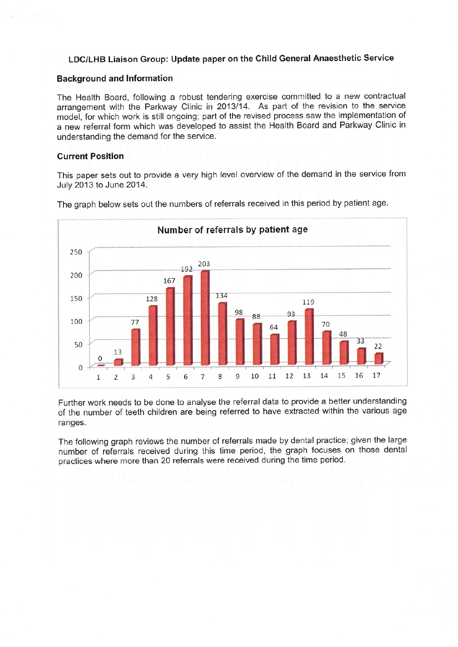## LDC/LHB Liaison Group: Update paper on the Child General Anaesthetic Service

## Background and lnformation

The Health Board, following a robust tendering exercise committed to a new contractual arrangement with the Parkway Clinic in 2013/14. As part of the revision to the service model, for which work is still ongoing; part of the revised process saw the implementation of a new referral form which was developed to assist the Health Board and Parkway Clinic in understanding the demand for the service.

## Current Position

This paper sets out to provide a very high level overview of the demand in the service from July 2013 to June 2014.



The graph below sets out the numbers of referrals received in this period by patient age.

Further work needs to be done to analyse the referral data to provide a better understanding of the number of teeth children are being referred to have extracted within the various age ranges.

The following graph reviews the number of referrals made by dental practice; given the large number of referrals received during this time period, the graph focuses on those dental practices where more than 20 referrals were received during the time period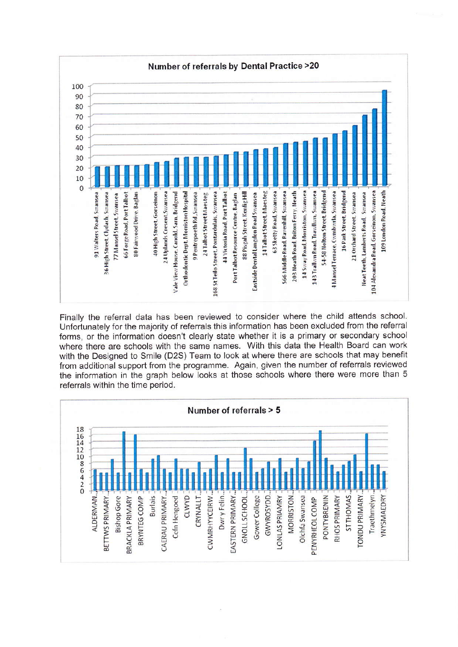![](_page_1_Figure_0.jpeg)

Finally the referral data has been reviewed to consider where the child attends school. Unfortunately for the majority of referrals this information has been excluded from the referral forms, or the information doesn't clearly state whether it is a primary or secondary school where there are schools with the same names. With this data the Health Board can work with the Designed to Smile (D2S) Team to look at where there are schools that may benefit from additional support from the programme. Again, given the number of referrals reviewed the information in the graph below looks at those schools where there were more than 5 referrals within the time period.

![](_page_1_Figure_2.jpeg)